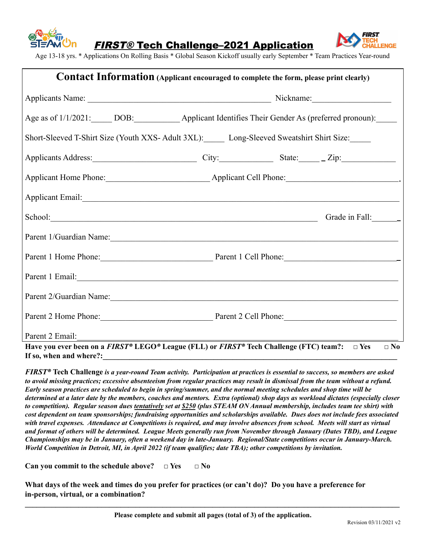



Age 13-18 yrs. \* Applications On Rolling Basis \* Global Season Kickoff usually early September \* Team Practices Year-round

| <b>Contact Information</b> (Applicant encouraged to complete the form, please print clearly)                                                                                                                                  |  |                                                                                        |  |                |  |
|-------------------------------------------------------------------------------------------------------------------------------------------------------------------------------------------------------------------------------|--|----------------------------------------------------------------------------------------|--|----------------|--|
|                                                                                                                                                                                                                               |  |                                                                                        |  |                |  |
|                                                                                                                                                                                                                               |  | Age as of 1/1/2021: DOB: Applicant Identifies Their Gender As (preferred pronoun):     |  |                |  |
|                                                                                                                                                                                                                               |  | Short-Sleeved T-Shirt Size (Youth XXS- Adult 3XL): Long-Sleeved Sweatshirt Shirt Size: |  |                |  |
| Applicants Address: City: City: State: Zip:                                                                                                                                                                                   |  |                                                                                        |  |                |  |
|                                                                                                                                                                                                                               |  |                                                                                        |  |                |  |
| Applicant Email: <u>Applicant</u> Email:                                                                                                                                                                                      |  |                                                                                        |  |                |  |
|                                                                                                                                                                                                                               |  |                                                                                        |  | Grade in Fall: |  |
| Parent 1/Guardian Name:                                                                                                                                                                                                       |  |                                                                                        |  |                |  |
| Parent 1 Home Phone: Parent 1 Cell Phone:                                                                                                                                                                                     |  |                                                                                        |  |                |  |
| Parent 1 Email:                                                                                                                                                                                                               |  |                                                                                        |  |                |  |
| Parent 2/Guardian Name: 1986 and 2008 and 2008 and 2008 and 2008 and 2008 and 2008 and 2008 and 2008 and 2008 and 2008 and 2008 and 2008 and 2008 and 2008 and 2008 and 2008 and 2008 and 2008 and 2008 and 2008 and 2008 and |  |                                                                                        |  |                |  |
| Parent 2 Home Phone: Parent 2 Cell Phone:                                                                                                                                                                                     |  |                                                                                        |  |                |  |
| Parent 2 Email:                                                                                                                                                                                                               |  |                                                                                        |  |                |  |
| Have you ever been on a <i>FIRST</i> <sup>®</sup> LEGO <sup>®</sup> League (FLL) or <i>FIRST</i> <sup>®</sup> Tech Challenge (FTC) team?: $\Box$ Yes<br>If so, when and where?:                                               |  |                                                                                        |  | $\square$ No   |  |

FIRST® Tech Challenge is a year-round Team activity. Participation at practices is essential to success, so members are asked to avoid missing practices; excessive absenteeism from regular practices may result in dismissal from the team without a refund. Early season practices are scheduled to begin in spring/summer, and the normal meeting schedules and shop time will be determined at a later date by the members, coaches and mentors. Extra (optional) shop days as workload dictates (especially closer to competition). Regular season dues tentatively set at \$250 (plus STEAM ON Annual membership, includes team tee shirt) with cost dependent on team sponsorships; fundraising opportunities and scholarships available. Dues does not include fees associated with travel expenses. Attendance at Competitions is required, and may involve absences from school. Meets will start as virtual and format of others will be determined. League Meets generally run from November through January (Dates TBD), and League Championships may be in January, often a weekend day in late-January. Regional/State competitions occur in January-March. World Competition in Detroit, MI, in April 2022 (if team qualifies; date TBA); other competitions by invitation.

**Can you commit to the schedule above? □ Yes □ No**

What days of the week and times do you prefer for practices (or can't do)? Do you have a preference for **in-person, virtual, or a combination?**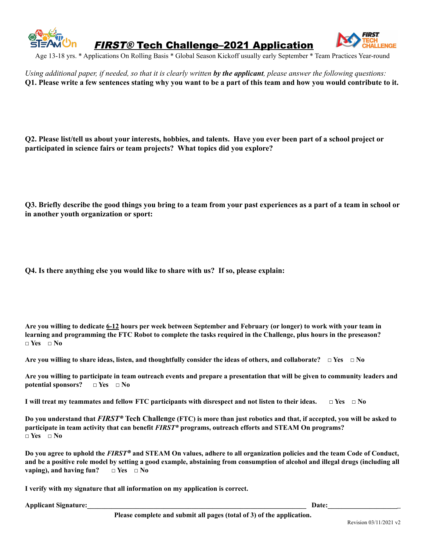

FIRST® Tech Challenge–2021 Application



Age 13-18 yrs. \* Applications On Rolling Basis \* Global Season Kickoff usually early September \* Team Practices Year-round

Using additional paper, if needed, so that it is clearly written by the applicant, please answer the following questions: O1. Please write a few sentences stating why you want to be a part of this team and how you would contribute to it.

Q2. Please list/tell us about your interests, hobbies, and talents. Have you ever been part of a school project or **participated in science fairs or team projects? What topics did you explore?**

Q3. Briefly describe the good things you bring to a team from your past experiences as a part of a team in school or **in another youth organization or sport:**

**Q4. Is there anything else you would like to share with us? If so, please explain:**

Are you willing to dedicate 6-12 hours per week between September and February (or longer) to work with your team in learning and programming the FTC Robot to complete the tasks required in the Challenge, plus hours in the preseason? **□ Yes □ No**

Are you willing to share ideas, listen, and thoughtfully consider the ideas of others, and collaborate?  $\Box$  Yes  $\Box$  No

Are you willing to participate in team outreach events and prepare a presentation that will be given to community leaders and **potential sponsors? □ Yes □ No**

I will treat my teammates and fellow FTC participants with disrespect and not listen to their ideas.  $\Box$  Yes  $\Box$  No

Do you understand that FIRST® Tech Challenge (FTC) is more than just robotics and that, if accepted, you will be asked to **participate in team activity that can benefit** *FIRST®* **programs, outreach efforts and STEAM On programs? □ Yes □ No**

Do you agree to uphold the FIRST® and STEAM On values, adhere to all organization policies and the team Code of Conduct, and be a positive role model by setting a good example, abstaining from consumption of alcohol and illegal drugs (including all **vaping), and having fun? □ Yes □ No**

**I verify with my signature that all information on my application is correct.**

**Applicant Signature: Date: Date: Date:** *Date:*